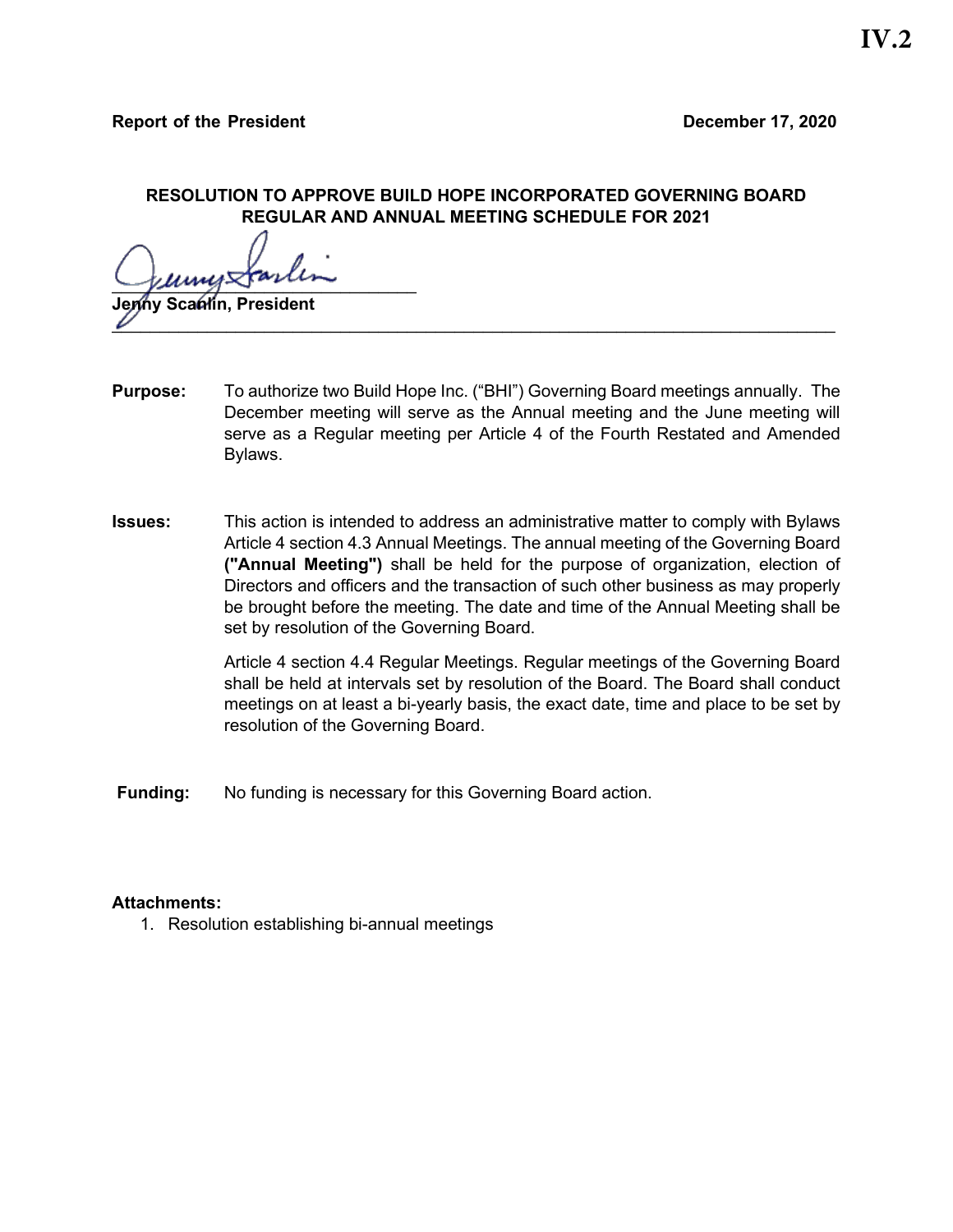## **RESOLUTION TO APPROVE BUILD HOPE INCORPORATED GOVERNING BOARD REGULAR AND ANNUAL MEETING SCHEDULE FOR 2021**

 $\sqrt{\mu\mu\mu\mu}$ 

**Scantin, President**  $\mathscr{U}$  and the same of the same of the same of the same of the same of the same of the same of the same of the same of the same of the same of the same of the same of the same of the same of the same of the same of the

- **Purpose:** To authorize two Build Hope Inc. ("BHI") Governing Board meetings annually. The December meeting will serve as the Annual meeting and the June meeting will serve as a Regular meeting per Article 4 of the Fourth Restated and Amended Bylaws.
- **Issues:** This action is intended to address an administrative matter to comply with Bylaws Article 4 section 4.3 Annual Meetings. The annual meeting of the Governing Board **("Annual Meeting")** shall be held for the purpose of organization, election of Directors and officers and the transaction of such other business as may properly be brought before the meeting. The date and time of the Annual Meeting shall be set by resolution of the Governing Board.

Article 4 section 4.4 Regular Meetings. Regular meetings of the Governing Board shall be held at intervals set by resolution of the Board. The Board shall conduct meetings on at least a bi-yearly basis, the exact date, time and place to be set by resolution of the Governing Board.

**Funding:** No funding is necessary for this Governing Board action.

## **Attachments:**

1. Resolution establishing bi-annual meetings